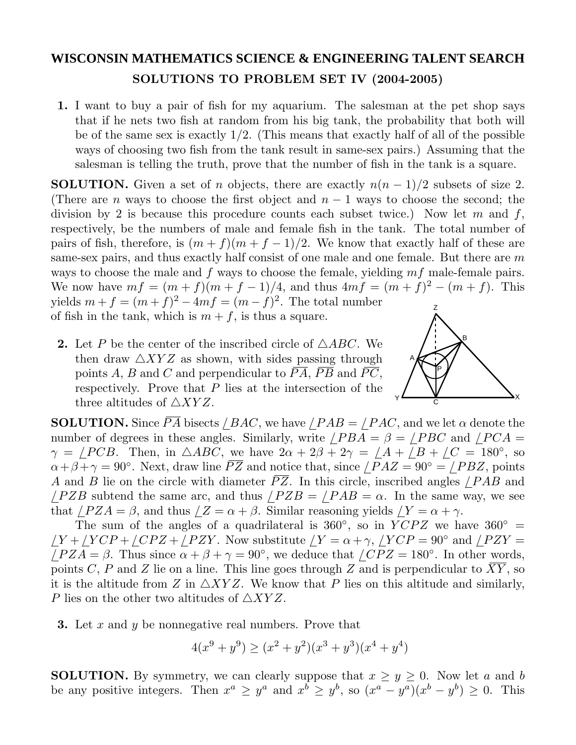## **WISCONSIN MATHEMATICS SCIENCE & ENGINEERING TALENT SEARCH SOLUTIONS TO PROBLEM SET IV (2004-2005)**

**1.** I want to buy a pair of fish for my aquarium. The salesman at the pet shop says that if he nets two fish at random from his big tank, the probability that both will be of the same sex is exactly 1*/*2. (This means that exactly half of all of the possible ways of choosing two fish from the tank result in same-sex pairs.) Assuming that the salesman is telling the truth, prove that the number of fish in the tank is a square.

Z **SOLUTION.** Given a set of *n* objects, there are exactly  $n(n-1)/2$  subsets of size 2. (There are *n* ways to choose the first object and  $n-1$  ways to choose the second; the division by 2 is because this procedure counts each subset twice.) Now let *m* and *f*, respectively, be the numbers of male and female fish in the tank. The total number of pairs of fish, therefore, is  $(m + f)(m + f - 1)/2$ . We know that exactly half of these are same-sex pairs, and thus exactly half consist of one male and one female. But there are *m* ways to choose the male and *f* ways to choose the female, yielding *mf* male-female pairs. We now have  $mf = (m + f)(m + f - 1)/4$ , and thus  $4mf = (m + f)^2 - (m + f)$ . This yields  $m + f = (m + f)^2 - 4mf = (m - f)^2$ . The total number of fish in the tank, which is  $m + f$ , is thus a square.

**2.** Let P be the center of the inscribed circle of  $\triangle ABC$ . We then draw  $\triangle XYZ$  as shown, with sides passing through points A, B and C and perpendicular to  $\overline{PA}$ ,  $\overline{PB}$  and  $\overline{PC}$ , respectively. Prove that *P* lies at the intersection of the three altitudes of  $\triangle XYZ$ .



**SOLUTION.** Since  $\overline{PA}$  bisects */BAC*, we have */PAB* = */PAC*, and we let  $\alpha$  denote the number of degrees in these angles. Similarly, write  $\angle PBA = \beta = \angle PBC$  and  $\angle PCA =$  $\gamma = /PCB$ . Then, in  $\triangle ABC$ , we have  $2\alpha + 2\beta + 2\gamma = /A + /B + /C = 180^{\circ}$ , so  $\alpha + \beta + \gamma = 90^\circ$ . Next, draw line  $\overline{PZ}$  and notice that, since  $\angle PAZ = 90^\circ = \angle PBZ$ , points *A* and *B* lie on the circle with diameter *PZ*. In this circle, inscribed angles */PAB* and  $\angle PZB$  subtend the same arc, and thus  $\angle PZB = \angle PAB = \alpha$ . In the same way, we see that  $\angle PZA = \beta$ , and thus  $\angle Z = \alpha + \beta$ . Similar reasoning yields  $\angle Y = \alpha + \gamma$ .

The sum of the angles of a quadrilateral is  $360°$ , so in *YCPZ* we have  $360° =$  $\gamma Y + \gamma YCP + \gamma CPZ + \gamma PZY$ . Now substitute  $\gamma Y = \alpha + \gamma$ ,  $\gamma YCP = 90°$  and  $\gamma PZY =$ */PZA* =  $\beta$ . Thus since  $\alpha + \beta + \gamma = 90^{\circ}$ , we deduce that */CPZ* = 180°. In other words, points *C*, *P* and *Z* lie on a line. This line goes through *Z* and is perpendicular to  $\overline{XY}$ , so it is the altitude from *Z* in  $\triangle XYZ$ . We know that *P* lies on this altitude and similarly, *P* lies on the other two altitudes of  $\triangle XYZ$ .

**3.** Let *x* and *y* be nonnegative real numbers. Prove that

$$
4(x^{9} + y^{9}) \ge (x^{2} + y^{2})(x^{3} + y^{3})(x^{4} + y^{4})
$$

**SOLUTION.** By symmetry, we can clearly suppose that  $x \geq y \geq 0$ . Now let *a* and *b* be any positive integers. Then  $x^a \ge y^a$  and  $x^b \ge y^b$ , so  $(x^a - y^a)(x^b - y^b) \ge 0$ . This